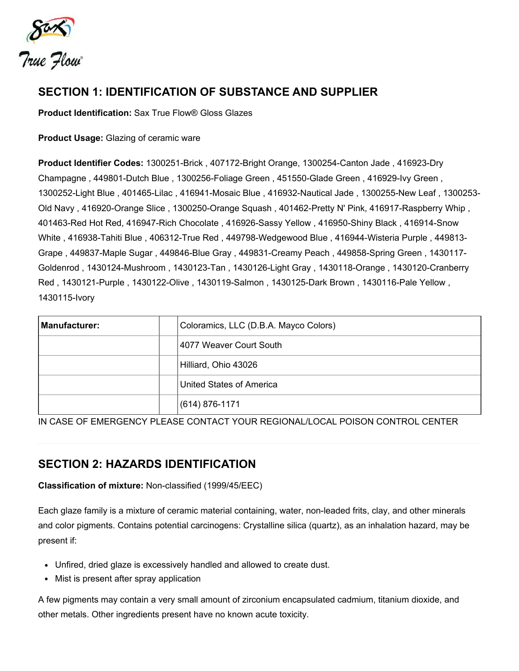

# SECTION 1: IDENTIFICATION OF SUBSTANCE AND SUPPLIER

Product Identification: Sax True Flow® Gloss Glazes

Product Usage: Glazing of ceramic ware

Product Identifier Codes: 1300251-Brick , 407172-Bright Orange, 1300254-Canton Jade , 416923-Dry Champagne , 449801-Dutch Blue , 1300256-Foliage Green , 451550-Glade Green , 416929-Ivy Green , 1300252-Light Blue , 401465-Lilac , 416941-Mosaic Blue , 416932-Nautical Jade , 1300255-New Leaf , 1300253- Old Navy , 416920-Orange Slice , 1300250-Orange Squash , 401462-Pretty N' Pink, 416917-Raspberry Whip , 401463-Red Hot Red, 416947-Rich Chocolate , 416926-Sassy Yellow , 416950-Shiny Black , 416914-Snow White , 416938-Tahiti Blue , 406312-True Red , 449798-Wedgewood Blue , 416944-Wisteria Purple , 449813- Grape , 449837-Maple Sugar , 449846-Blue Gray , 449831-Creamy Peach , 449858-Spring Green , 1430117- Goldenrod , 1430124-Mushroom , 1430123-Tan , 1430126-Light Gray , 1430118-Orange , 1430120-Cranberry Red , 1430121-Purple , 1430122-Olive , 1430119-Salmon , 1430125-Dark Brown , 1430116-Pale Yellow , 1430115-Ivory

| <b>Manufacturer:</b> | Coloramics, LLC (D.B.A. Mayco Colors) |
|----------------------|---------------------------------------|
|                      | 4077 Weaver Court South               |
|                      | Hilliard, Ohio 43026                  |
|                      | United States of America              |
|                      | (614) 876-1171                        |

IN CASE OF EMERGENCY PLEASE CONTACT YOUR REGIONAL/LOCAL POISON CONTROL CENTER

# SECTION 2: HAZARDS IDENTIFICATION

Classification of mixture: Non-classified (1999/45/EEC)

Each glaze family is a mixture of ceramic material containing, water, non-leaded frits, clay, and other minerals and color pigments. Contains potential carcinogens: Crystalline silica (quartz), as an inhalation hazard, may be present if:

- Unfired, dried glaze is excessively handled and allowed to create dust.
- Mist is present after spray application

A few pigments may contain a very small amount of zirconium encapsulated cadmium, titanium dioxide, and other metals. Other ingredients present have no known acute toxicity.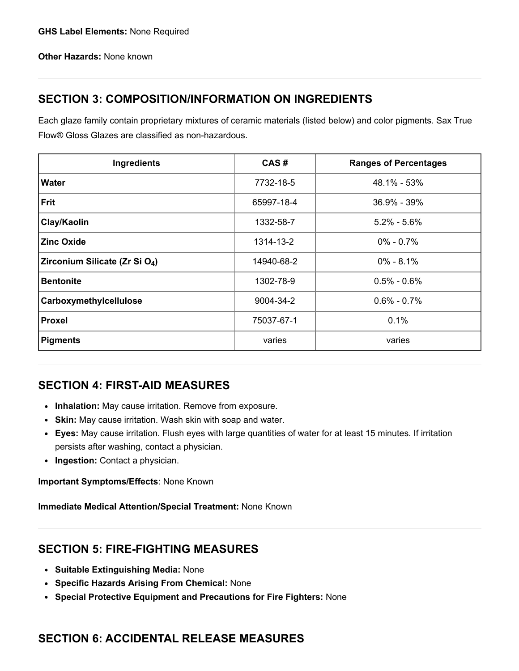Other Hazards: None known

# SECTION 3: COMPOSITION/INFORMATION ON INGREDIENTS

Each glaze family contain proprietary mixtures of ceramic materials (listed below) and color pigments. Sax True Flow® Gloss Glazes are classified as non-hazardous.

| Ingredients                                | CAS#       | <b>Ranges of Percentages</b> |
|--------------------------------------------|------------|------------------------------|
| <b>Water</b>                               | 7732-18-5  | 48.1% - 53%                  |
| <b>Frit</b>                                | 65997-18-4 | 36.9% - 39%                  |
| Clay/Kaolin                                | 1332-58-7  | $5.2\% - 5.6\%$              |
| <b>Zinc Oxide</b>                          | 1314-13-2  | $0\% - 0.7\%$                |
| Zirconium Silicate (Zr Si O <sub>4</sub> ) | 14940-68-2 | $0\% - 8.1\%$                |
| <b>Bentonite</b>                           | 1302-78-9  | $0.5\% - 0.6\%$              |
| Carboxymethylcellulose                     | 9004-34-2  | $0.6\% - 0.7\%$              |
| <b>Proxel</b>                              | 75037-67-1 | 0.1%                         |
| <b>Pigments</b>                            | varies     | varies                       |

# SECTION 4: FIRST-AID MEASURES

- Inhalation: May cause irritation. Remove from exposure.
- Skin: May cause irritation. Wash skin with soap and water.
- Eyes: May cause irritation. Flush eyes with large quantities of water for at least 15 minutes. If irritation persists after washing, contact a physician.
- Ingestion: Contact a physician.

Important Symptoms/Effects: None Known

Immediate Medical Attention/Special Treatment: None Known

# SECTION 5: FIRE-FIGHTING MEASURES

- Suitable Extinguishing Media: None
- Specific Hazards Arising From Chemical: None
- Special Protective Equipment and Precautions for Fire Fighters: None

#### SECTION 6: ACCIDENTAL RELEASE MEASURES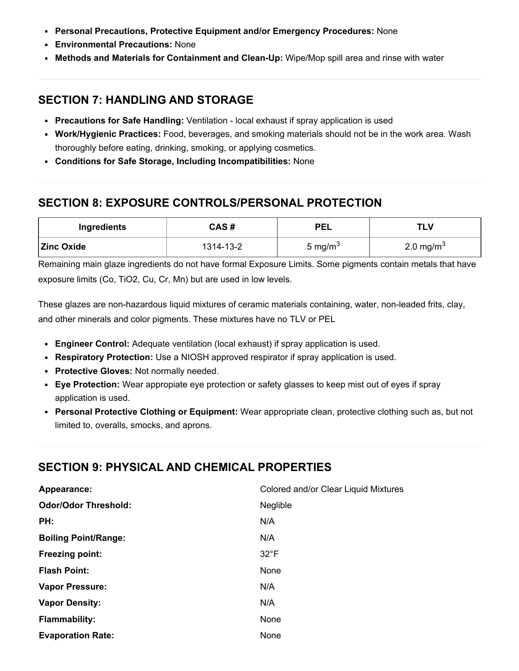- Personal Precautions, Protective Equipment and/or Emergency Procedures: None
- Environmental Precautions: None
- Methods and Materials for Containment and Clean-Up: Wipe/Mop spill area and rinse with water

### SECTION 7: HANDLING AND STORAGE

- Precautions for Safe Handling: Ventilation local exhaust if spray application is used
- Work/Hygienic Practices: Food, beverages, and smoking materials should not be in the work area. Wash thoroughly before eating, drinking, smoking, or applying cosmetics.
- Conditions for Safe Storage, Including Incompatibilities: None

# SECTION 8: EXPOSURE CONTROLS/PERSONAL PROTECTION

| Ingredients       | CAS#      | <b>PEL</b>          | TLV                   |
|-------------------|-----------|---------------------|-----------------------|
| <b>Zinc Oxide</b> | 1314-13-2 | 5 mg/m <sup>3</sup> | 2.0 mg/m <sup>3</sup> |

Remaining main glaze ingredients do not have formal Exposure Limits. Some pigments contain metals that have exposure limits (Co, TiO2, Cu, Cr, Mn) but are used in low levels.

These glazes are non-hazardous liquid mixtures of ceramic materials containing, water, non-leaded frits, clay, and other minerals and color pigments. These mixtures have no TLV or PEL

- Engineer Control: Adequate ventilation (local exhaust) if spray application is used.
- Respiratory Protection: Use a NIOSH approved respirator if spray application is used.
- Protective Gloves: Not normally needed.
- Eye Protection: Wear appropiate eye protection or safety glasses to keep mist out of eyes if spray application is used.
- Personal Protective Clothing or Equipment: Wear appropriate clean, protective clothing such as, but not limited to, overalls, smocks, and aprons.

# SECTION 9: PHYSICAL AND CHEMICAL PROPERTIES

| Appearance:                 | Colored and/or Clear Liquid Mixtures |
|-----------------------------|--------------------------------------|
| <b>Odor/Odor Threshold:</b> | Neglible                             |
| PH:                         | N/A                                  |
| <b>Boiling Point/Range:</b> | N/A                                  |
| <b>Freezing point:</b>      | $32^{\circ}F$                        |
| <b>Flash Point:</b>         | None                                 |
| <b>Vapor Pressure:</b>      | N/A                                  |
| <b>Vapor Density:</b>       | N/A                                  |
| <b>Flammability:</b>        | None                                 |
| <b>Evaporation Rate:</b>    | None                                 |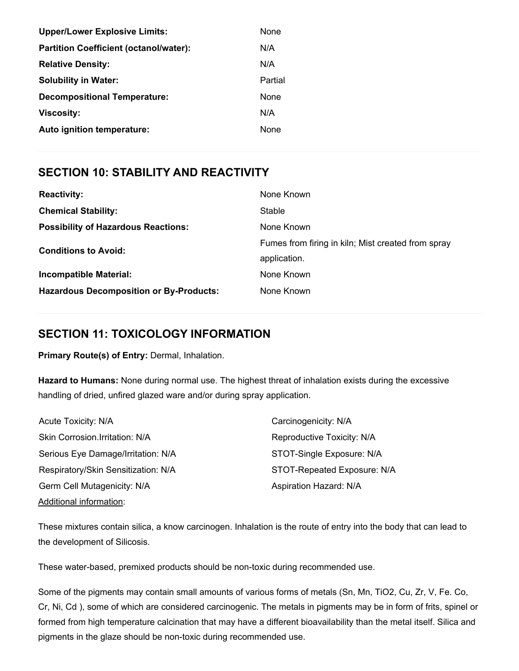| <b>Upper/Lower Explosive Limits:</b>          | None    |
|-----------------------------------------------|---------|
| <b>Partition Coefficient (octanol/water):</b> | N/A     |
| <b>Relative Density:</b>                      | N/A     |
| <b>Solubility in Water:</b>                   | Partial |
| <b>Decompositional Temperature:</b>           | None    |
| Viscosity:                                    | N/A     |
| Auto ignition temperature:                    | None    |
|                                               |         |

#### SECTION 10: STABILITY AND REACTIVITY

| <b>Reactivity:</b>                             | None Known                                                         |
|------------------------------------------------|--------------------------------------------------------------------|
| <b>Chemical Stability:</b>                     | Stable                                                             |
| <b>Possibility of Hazardous Reactions:</b>     | None Known                                                         |
| <b>Conditions to Avoid:</b>                    | Fumes from firing in kiln; Mist created from spray<br>application. |
| <b>Incompatible Material:</b>                  | None Known                                                         |
| <b>Hazardous Decomposition or By-Products:</b> | None Known                                                         |

### SECTION 11: TOXICOLOGY INFORMATION

Primary Route(s) of Entry: Dermal, Inhalation.

Hazard to Humans: None during normal use. The highest threat of inhalation exists during the excessive handling of dried, unfired glazed ware and/or during spray application.

| Acute Toxicity: N/A                 | Carcinogenicity: N/A        |
|-------------------------------------|-----------------------------|
| Skin Corrosion. Irritation: N/A     | Reproductive Toxicity: N/A  |
| Serious Eye Damage/Irritation: N/A  | STOT-Single Exposure: N/A   |
| Respiratory/Skin Sensitization: N/A | STOT-Repeated Exposure: N/A |
| Germ Cell Mutagenicity: N/A         | Aspiration Hazard: N/A      |
| <b>Additional information:</b>      |                             |

These mixtures contain silica, a know carcinogen. Inhalation is the route of entry into the body that can lead to the development of Silicosis.

These water-based, premixed products should be non-toxic during recommended use.

Some of the pigments may contain small amounts of various forms of metals (Sn, Mn, TiO2, Cu, Zr, V, Fe. Co, Cr, Ni, Cd ), some of which are considered carcinogenic. The metals in pigments may be in form of frits, spinel or formed from high temperature calcination that may have a different bioavailability than the metal itself. Silica and pigments in the glaze should be non-toxic during recommended use.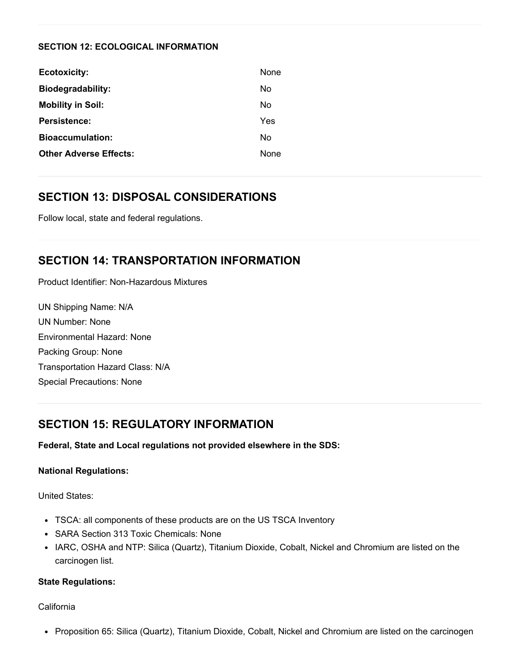#### SECTION 12: ECOLOGICAL INFORMATION

| <b>Ecotoxicity:</b>           | <b>None</b> |
|-------------------------------|-------------|
| <b>Biodegradability:</b>      | No          |
| <b>Mobility in Soil:</b>      | No          |
| Persistence:                  | Yes         |
| <b>Bioaccumulation:</b>       | No          |
| <b>Other Adverse Effects:</b> | <b>None</b> |

### SECTION 13: DISPOSAL CONSIDERATIONS

Follow local, state and federal regulations.

#### SECTION 14: TRANSPORTATION INFORMATION

Product Identifier: Non-Hazardous Mixtures

UN Shipping Name: N/A UN Number: None Environmental Hazard: None Packing Group: None Transportation Hazard Class: N/A Special Precautions: None

# SECTION 15: REGULATORY INFORMATION

Federal, State and Local regulations not provided elsewhere in the SDS:

#### National Regulations:

United States:

- TSCA: all components of these products are on the US TSCA Inventory
- SARA Section 313 Toxic Chemicals: None
- IARC, OSHA and NTP: Silica (Quartz), Titanium Dioxide, Cobalt, Nickel and Chromium are listed on the carcinogen list.

#### State Regulations:

California

• Proposition 65: Silica (Quartz), Titanium Dioxide, Cobalt, Nickel and Chromium are listed on the carcinogen